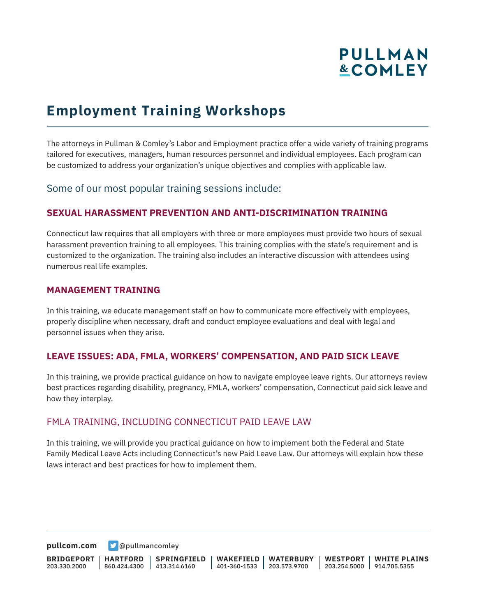# **PULLMAN &COMLEY**

### **Employment Training Workshops**

The attorneys in Pullman & Comley's Labor and Employment practice offer a wide variety of training programs tailored for executives, managers, human resources personnel and individual employees. Each program can be customized to address your organization's unique objectives and complies with applicable law.

### Some of our most popular training sessions include:

### **SEXUAL HARASSMENT PREVENTION AND ANTI-DISCRIMINATION TRAINING**

Connecticut law requires that all employers with three or more employees must provide two hours of sexual harassment prevention training to all employees. This training complies with the state's requirement and is customized to the organization. The training also includes an interactive discussion with attendees using numerous real life examples.

#### **MANAGEMENT TRAINING**

In this training, we educate management staff on how to communicate more effectively with employees, properly discipline when necessary, draft and conduct employee evaluations and deal with legal and personnel issues when they arise.

### **LEAVE ISSUES: ADA, FMLA, WORKERS' COMPENSATION, AND PAID SICK LEAVE**

In this training, we provide practical guidance on how to navigate employee leave rights. Our attorneys review best practices regarding disability, pregnancy, FMLA, workers' compensation, Connecticut paid sick leave and how they interplay.

### FMLA TRAINING, INCLUDING CONNECTICUT PAID LEAVE LAW

In this training, we will provide you practical guidance on how to implement both the Federal and State Family Medical Leave Acts including Connecticut's new Paid Leave Law. Our attorneys will explain how these laws interact and best practices for how to implement them.

**[pullcom.com](https://www.pullcom.com) g** [@pullmancomley](https://twitter.com/PullmanComley)

**BRIDGEPORT** 203.330.2000 **HARTFORD** 860.424.4300 413.314.6160 **SPRINGFIELD WAKEFIELD WATERBURY** 401-360-1533 203.573.9700 **WESTPORT WHITE PLAINS** 203.254.5000 914.705.5355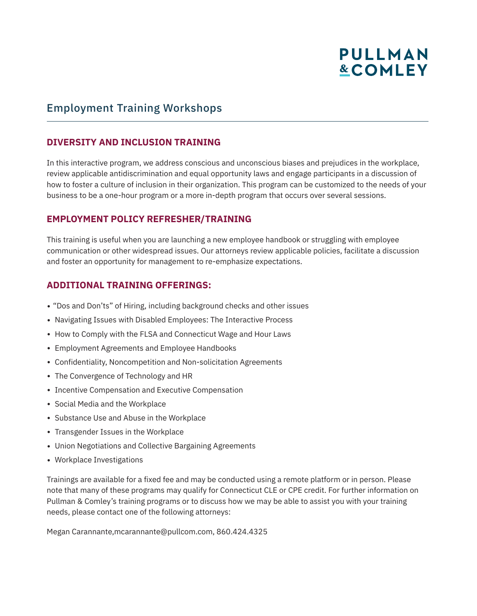## **PULLMAN &COMLEY**

### Employment Training Workshops

### **DIVERSITY AND INCLUSION TRAINING**

In this interactive program, we address conscious and unconscious biases and prejudices in the workplace, review applicable antidiscrimination and equal opportunity laws and engage participants in a discussion of how to foster a culture of inclusion in their organization. This program can be customized to the needs of your business to be a one-hour program or a more in-depth program that occurs over several sessions.

### **EMPLOYMENT POLICY REFRESHER/TRAINING**

This training is useful when you are launching a new employee handbook or struggling with employee communication or other widespread issues. Our attorneys review applicable policies, facilitate a discussion and foster an opportunity for management to re-emphasize expectations.

### **ADDITIONAL TRAINING OFFERINGS:**

- "Dos and Don'ts" of Hiring, including background checks and other issues
- Navigating Issues with Disabled Employees: The Interactive Process
- How to Comply with the FLSA and Connecticut Wage and Hour Laws
- Employment Agreements and Employee Handbooks
- Confidentiality, Noncompetition and Non-solicitation Agreements
- The Convergence of Technology and HR
- Incentive Compensation and Executive Compensation
- Social Media and the Workplace
- Substance Use and Abuse in the Workplace
- Transgender Issues in the Workplace
- Union Negotiations and Collective Bargaining Agreements
- Workplace Investigations

Trainings are available for a fixed fee and may be conducted using a remote platform or in person. Please note that many of these programs may qualify for Connecticut CLE or CPE credit. For further information on Pullman & Comley's training programs or to discuss how we may be able to assist you with your training needs, please contact one of the following attorneys:

Megan Carannante,mcarannante@pullcom.com, 860.424.4325